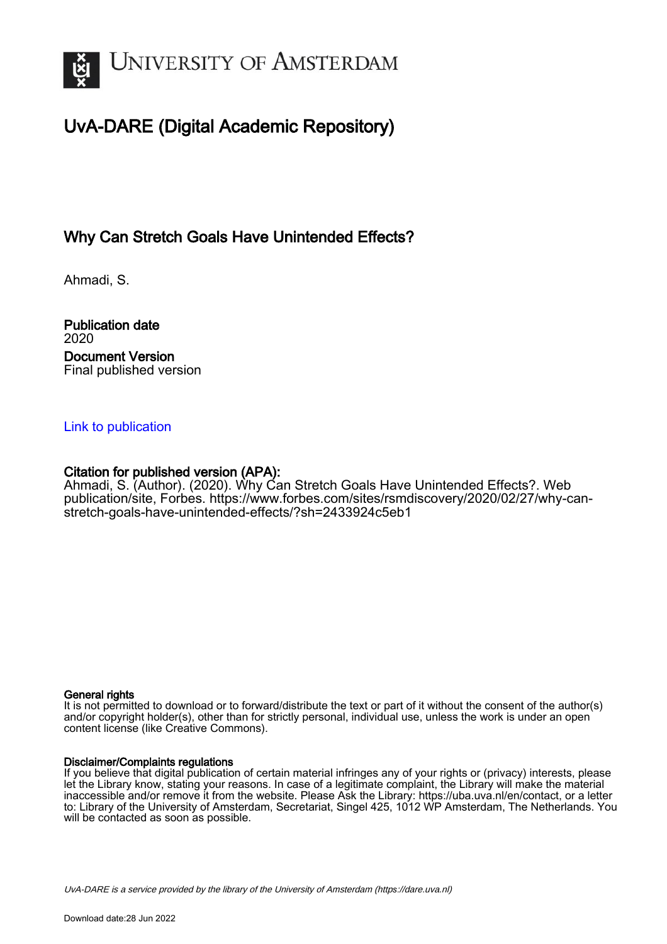

# UvA-DARE (Digital Academic Repository)

# Why Can Stretch Goals Have Unintended Effects?

Ahmadi, S.

Publication date 2020 Document Version Final published version

## [Link to publication](https://dare.uva.nl/personal/pure/en/publications/why-can-stretch-goals-have-unintended-effects(07492a6b-77a0-4356-a8d1-cbd571e74cae).html)

### Citation for published version (APA):

Ahmadi, S. (Author). (2020). Why Can Stretch Goals Have Unintended Effects?. Web publication/site, Forbes. [https://www.forbes.com/sites/rsmdiscovery/2020/02/27/why-can](https://www.forbes.com/sites/rsmdiscovery/2020/02/27/why-can-stretch-goals-have-unintended-effects/?sh=2433924c5eb1)[stretch-goals-have-unintended-effects/?sh=2433924c5eb1](https://www.forbes.com/sites/rsmdiscovery/2020/02/27/why-can-stretch-goals-have-unintended-effects/?sh=2433924c5eb1)

#### General rights

It is not permitted to download or to forward/distribute the text or part of it without the consent of the author(s) and/or copyright holder(s), other than for strictly personal, individual use, unless the work is under an open content license (like Creative Commons).

#### Disclaimer/Complaints regulations

If you believe that digital publication of certain material infringes any of your rights or (privacy) interests, please let the Library know, stating your reasons. In case of a legitimate complaint, the Library will make the material inaccessible and/or remove it from the website. Please Ask the Library: https://uba.uva.nl/en/contact, or a letter to: Library of the University of Amsterdam, Secretariat, Singel 425, 1012 WP Amsterdam, The Netherlands. You will be contacted as soon as possible.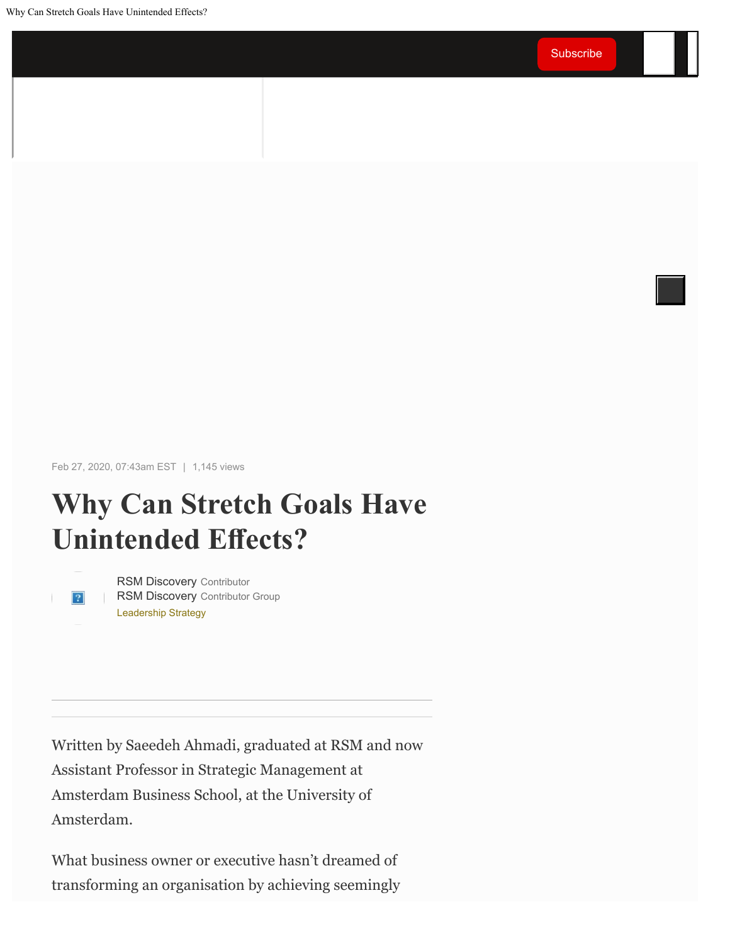Why Can Stretch Goals Have Unintended Effects?

Feb 27, 2020, 07:43am EST | 1,145 views

# **Why Can Stretch Goals Have Unintended Efects?**



[Leadership Strategy](https://www.forbes.com/leadership-strategy) [RSM Discovery](https://www.forbes.com/sites/rsmdiscovery/) Contributor [RSM Discovery](https://www.forbes.com/sites/rsmdiscovery/) Contributor Group

Written by Saeedeh Ahmadi, graduated at RSM and now Assistant Professor in Strategic Management at Amsterdam Business School, at the University of Amsterdam.

What business owner or executive hasn't dreamed of transforming an organisation by achieving seemingly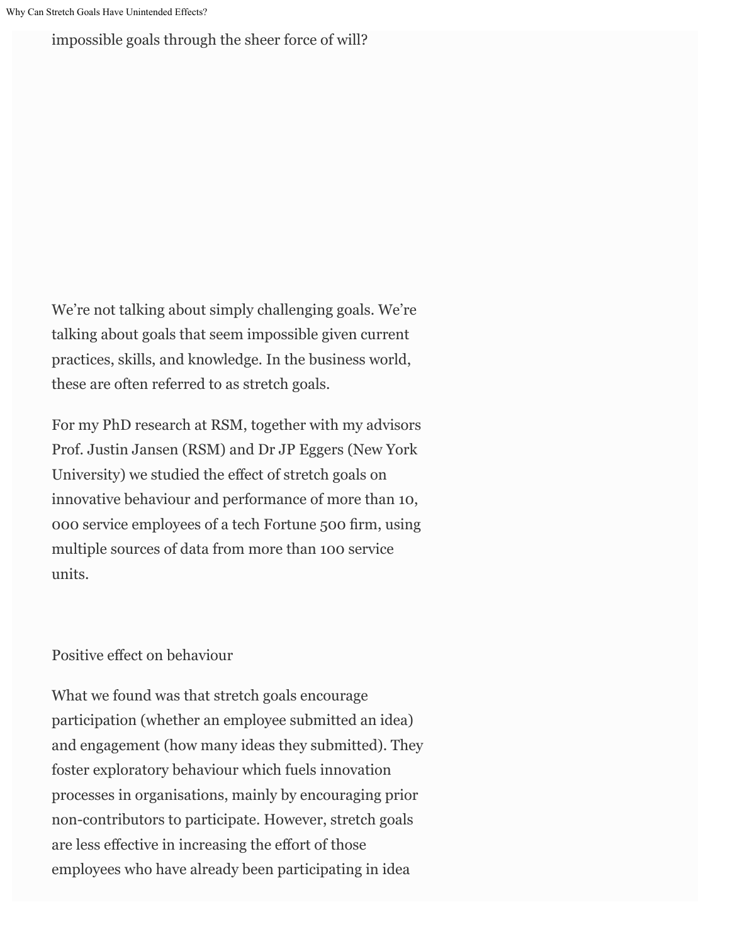impossible goals through the sheer force of will?

We're not talking about simply challenging goals. We're talking about goals that seem impossible given current practices, skills, and knowledge. In the business world, these are often referred to as stretch goals.

For my PhD research at RSM, together with my advisors Prof. Justin Jansen (RSM) and Dr JP Eggers (New York University) we studied the efect of stretch goals on innovative behaviour and performance of more than 10, 000 service employees of a tech Fortune 500 frm, using multiple sources of data from more than 100 service units.

## Positive effect on behaviour

What we found was that stretch goals encourage participation (whether an employee submitted an idea) and engagement (how many ideas they submitted). They foster exploratory behaviour which fuels innovation processes in organisations, mainly by encouraging prior non-contributors to participate. However, stretch goals are less efective in increasing the efort of those employees who have already been participating in idea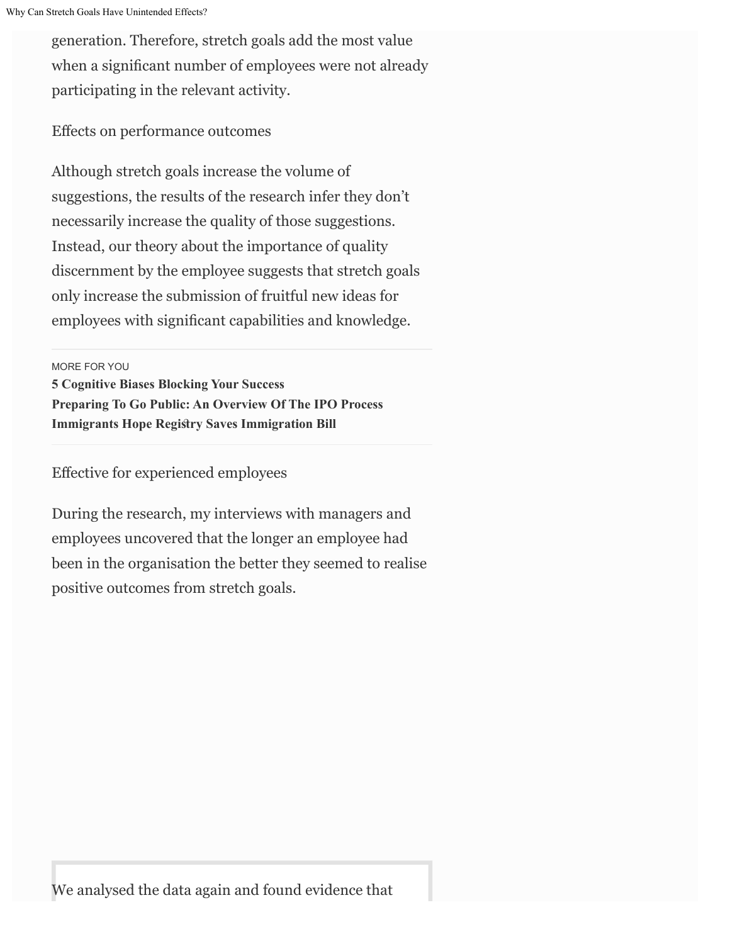generation. Therefore, stretch goals add the most value when a signifcant number of employees were not already participating in the relevant activity.

Efects on performance outcomes

Although stretch goals increase the volume of suggestions, the results of the research infer they don't necessarily increase the quality of those suggestions. Instead, our theory about the importance of quality discernment by the employee suggests that stretch goals only increase the submission of fruitful new ideas for employees with signifcant capabilities and knowledge.

MORE FOR YOU

**[5 Cognitive Biases Blocking Your Success](https://www.forbes.com/sites/carminegallo/2021/09/27/5-cognitive-biases-blocking-your-success/) [Preparing To Go Public: An Overview Of The IPO Process](https://www.forbes.com/sites/michaelperegrine/2021/09/15/preparing-to-go-public-an-overview-of-the-ipo-process/) [Immigrants Hope Regisry Saves Immigration Bill](https://www.forbes.com/sites/stuartanderson/2021/09/22/immigrants-hope-registry-saves-immigration-bill/)**

Efective for experienced employees

During the research, my interviews with managers and employees uncovered that the longer an employee had been in the organisation the better they seemed to realise positive outcomes from stretch goals.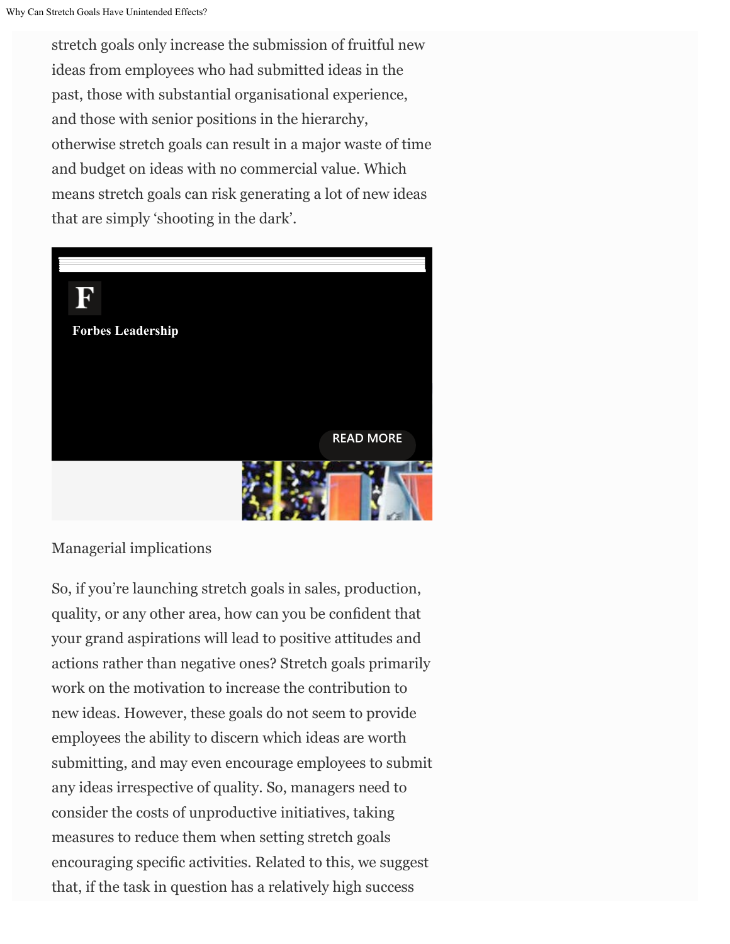stretch goals only increase the submission of fruitful new ideas from employees who had submitted ideas in the past, those with substantial organisational experience, and those with senior positions in the hierarchy, otherwise stretch goals can result in a major waste of time and budget on ideas with no commercial value. Which means stretch goals can risk generating a lot of new ideas that are simply 'shooting in the dark'.



Managerial implications

So, if you're launching stretch goals in sales, production, quality, or any other area, how can you be confdent that your grand aspirations will lead to positive attitudes and actions rather than negative ones? Stretch goals primarily work on the motivation to increase the contribution to new ideas. However, these goals do not seem to provide employees the ability to discern which ideas are worth submitting, and may even encourage employees to submit any ideas irrespective of quality. So, managers need to consider the costs of unproductive initiatives, taking measures to reduce them when setting stretch goals encouraging specifc activities. Related to this, we suggest that, if the task in question has a relatively high success